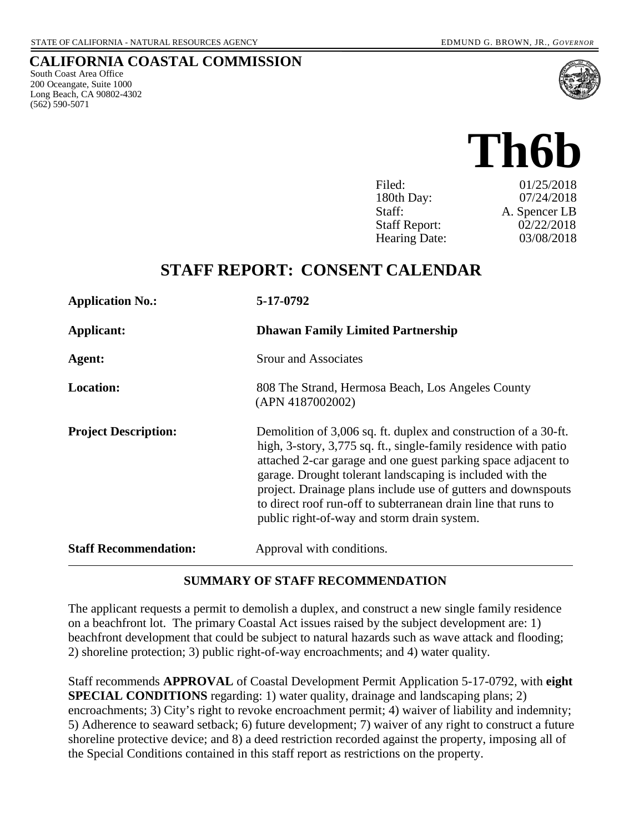South Coast Area Office 200 Oceangate, Suite 1000 Long Beach, CA 90802-4302

(562) 590-5071

**CALIFORNIA COASTAL COMMISSION**

# **Th6b**

| Filed:               | 01/25/2018    |
|----------------------|---------------|
| 180th Day:           | 07/24/2018    |
| Staff:               | A. Spencer LB |
| <b>Staff Report:</b> | 02/22/2018    |
| <b>Hearing Date:</b> | 03/08/2018    |

# **STAFF REPORT: CONSENT CALENDAR**

| <b>Application No.:</b>      | 5-17-0792                                                                                                                                                                                                                                                                                                                                                                                                                                           |
|------------------------------|-----------------------------------------------------------------------------------------------------------------------------------------------------------------------------------------------------------------------------------------------------------------------------------------------------------------------------------------------------------------------------------------------------------------------------------------------------|
| Applicant:                   | <b>Dhawan Family Limited Partnership</b>                                                                                                                                                                                                                                                                                                                                                                                                            |
| Agent:                       | <b>Srour and Associates</b>                                                                                                                                                                                                                                                                                                                                                                                                                         |
| <b>Location:</b>             | 808 The Strand, Hermosa Beach, Los Angeles County<br>(APN 4187002002)                                                                                                                                                                                                                                                                                                                                                                               |
| <b>Project Description:</b>  | Demolition of 3,006 sq. ft. duplex and construction of a 30-ft.<br>high, 3-story, 3,775 sq. ft., single-family residence with patio<br>attached 2-car garage and one guest parking space adjacent to<br>garage. Drought tolerant landscaping is included with the<br>project. Drainage plans include use of gutters and downspouts<br>to direct roof run-off to subterranean drain line that runs to<br>public right-of-way and storm drain system. |
| <b>Staff Recommendation:</b> | Approval with conditions.                                                                                                                                                                                                                                                                                                                                                                                                                           |

#### **SUMMARY OF STAFF RECOMMENDATION**

The applicant requests a permit to demolish a duplex, and construct a new single family residence on a beachfront lot. The primary Coastal Act issues raised by the subject development are: 1) beachfront development that could be subject to natural hazards such as wave attack and flooding; 2) shoreline protection; 3) public right-of-way encroachments; and 4) water quality.

Staff recommends **APPROVAL** of Coastal Development Permit Application 5-17-0792, with **eight SPECIAL CONDITIONS** regarding: 1) water quality, drainage and landscaping plans; 2) encroachments; 3) City's right to revoke encroachment permit; 4) waiver of liability and indemnity; 5) Adherence to seaward setback; 6) future development; 7) waiver of any right to construct a future shoreline protective device; and 8) a deed restriction recorded against the property, imposing all of the Special Conditions contained in this staff report as restrictions on the property.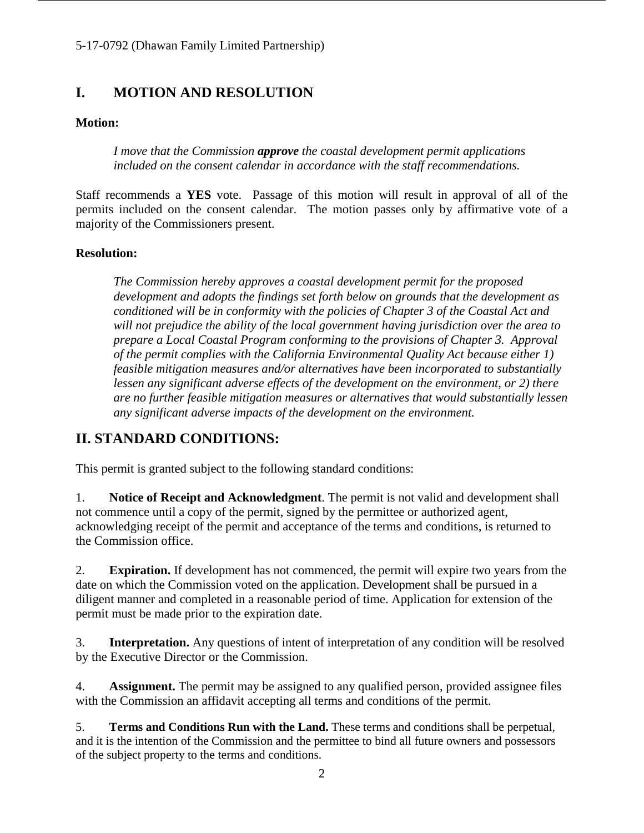# **I. MOTION AND RESOLUTION**

#### **Motion:**

*I move that the Commission approve the coastal development permit applications included on the consent calendar in accordance with the staff recommendations.*

Staff recommends a **YES** vote. Passage of this motion will result in approval of all of the permits included on the consent calendar. The motion passes only by affirmative vote of a majority of the Commissioners present.

#### **Resolution:**

*The Commission hereby approves a coastal development permit for the proposed development and adopts the findings set forth below on grounds that the development as conditioned will be in conformity with the policies of Chapter 3 of the Coastal Act and will not prejudice the ability of the local government having jurisdiction over the area to prepare a Local Coastal Program conforming to the provisions of Chapter 3. Approval of the permit complies with the California Environmental Quality Act because either 1) feasible mitigation measures and/or alternatives have been incorporated to substantially lessen any significant adverse effects of the development on the environment, or 2) there are no further feasible mitigation measures or alternatives that would substantially lessen any significant adverse impacts of the development on the environment.*

# **II. STANDARD CONDITIONS:**

This permit is granted subject to the following standard conditions:

1. **Notice of Receipt and Acknowledgment**. The permit is not valid and development shall not commence until a copy of the permit, signed by the permittee or authorized agent, acknowledging receipt of the permit and acceptance of the terms and conditions, is returned to the Commission office.

2. **Expiration.** If development has not commenced, the permit will expire two years from the date on which the Commission voted on the application. Development shall be pursued in a diligent manner and completed in a reasonable period of time. Application for extension of the permit must be made prior to the expiration date.

3. **Interpretation.** Any questions of intent of interpretation of any condition will be resolved by the Executive Director or the Commission.

4. **Assignment.** The permit may be assigned to any qualified person, provided assignee files with the Commission an affidavit accepting all terms and conditions of the permit.

5. **Terms and Conditions Run with the Land.** These terms and conditions shall be perpetual, and it is the intention of the Commission and the permittee to bind all future owners and possessors of the subject property to the terms and conditions.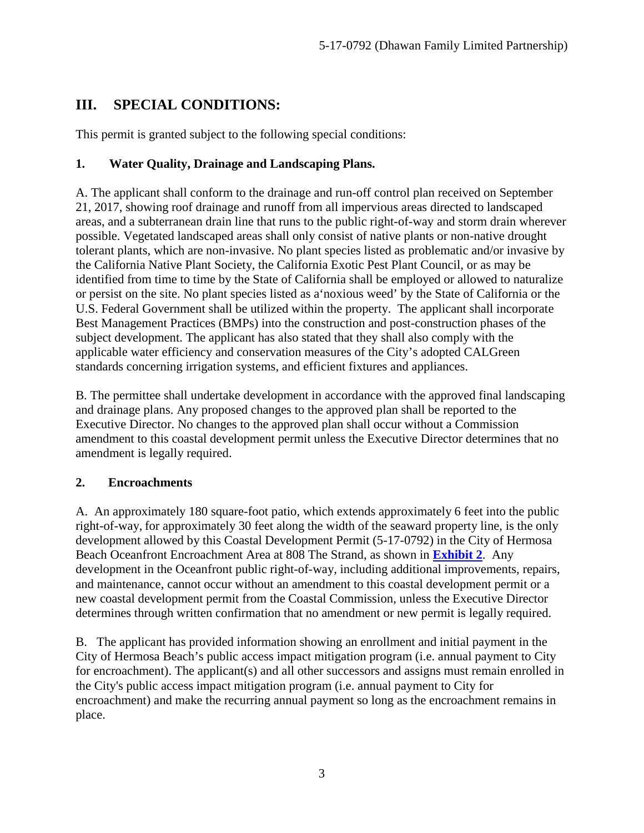# **III. SPECIAL CONDITIONS:**

This permit is granted subject to the following special conditions:

#### **1. Water Quality, Drainage and Landscaping Plans.**

A. The applicant shall conform to the drainage and run-off control plan received on September 21, 2017, showing roof drainage and runoff from all impervious areas directed to landscaped areas, and a subterranean drain line that runs to the public right-of-way and storm drain wherever possible. Vegetated landscaped areas shall only consist of native plants or non-native drought tolerant plants, which are non-invasive. No plant species listed as problematic and/or invasive by the California Native Plant Society, the California Exotic Pest Plant Council, or as may be identified from time to time by the State of California shall be employed or allowed to naturalize or persist on the site. No plant species listed as a'noxious weed' by the State of California or the U.S. Federal Government shall be utilized within the property. The applicant shall incorporate Best Management Practices (BMPs) into the construction and post-construction phases of the subject development. The applicant has also stated that they shall also comply with the applicable water efficiency and conservation measures of the City's adopted CALGreen standards concerning irrigation systems, and efficient fixtures and appliances.

B. The permittee shall undertake development in accordance with the approved final landscaping and drainage plans. Any proposed changes to the approved plan shall be reported to the Executive Director. No changes to the approved plan shall occur without a Commission amendment to this coastal development permit unless the Executive Director determines that no amendment is legally required.

#### **2. Encroachments**

A. An approximately 180 square-foot patio, which extends approximately 6 feet into the public right-of-way, for approximately 30 feet along the width of the seaward property line, is the only development allowed by this Coastal Development Permit (5-17-0792) in the City of Hermosa Beach Oceanfront Encroachment Area at 808 The Strand, as shown in **[Exhibit 2](https://documents.coastal.ca.gov/reports/2018/3/th6b/th6b-3-2018-exhibits.pdf)**. Any development in the Oceanfront public right-of-way, including additional improvements, repairs, and maintenance, cannot occur without an amendment to this coastal development permit or a new coastal development permit from the Coastal Commission, unless the Executive Director determines through written confirmation that no amendment or new permit is legally required.

B. The applicant has provided information showing an enrollment and initial payment in the City of Hermosa Beach's public access impact mitigation program (i.e. annual payment to City for encroachment). The applicant(s) and all other successors and assigns must remain enrolled in the City's public access impact mitigation program (i.e. annual payment to City for encroachment) and make the recurring annual payment so long as the encroachment remains in place.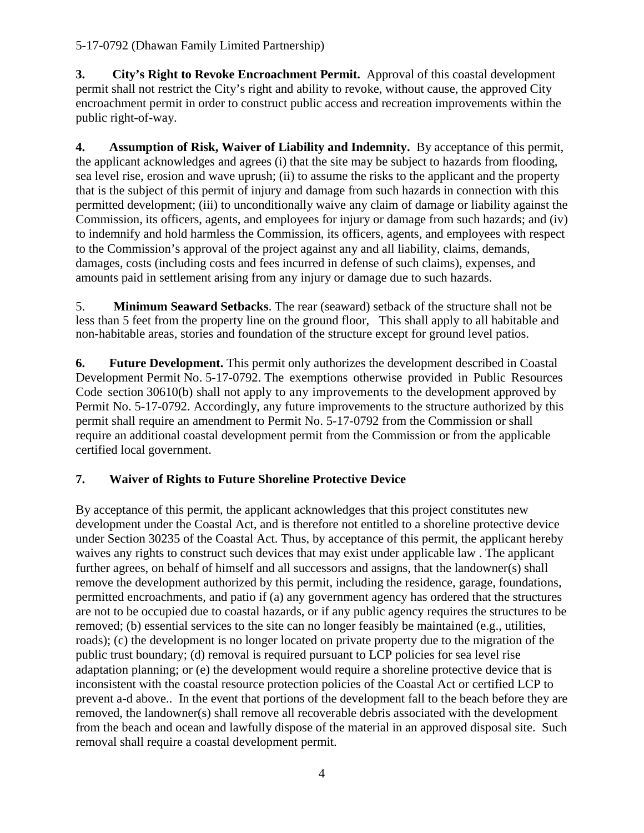**3. City's Right to Revoke Encroachment Permit.** Approval of this coastal development permit shall not restrict the City's right and ability to revoke, without cause, the approved City encroachment permit in order to construct public access and recreation improvements within the public right-of-way.

**4. Assumption of Risk, Waiver of Liability and Indemnity.** By acceptance of this permit, the applicant acknowledges and agrees (i) that the site may be subject to hazards from flooding, sea level rise, erosion and wave uprush; (ii) to assume the risks to the applicant and the property that is the subject of this permit of injury and damage from such hazards in connection with this permitted development; (iii) to unconditionally waive any claim of damage or liability against the Commission, its officers, agents, and employees for injury or damage from such hazards; and (iv) to indemnify and hold harmless the Commission, its officers, agents, and employees with respect to the Commission's approval of the project against any and all liability, claims, demands, damages, costs (including costs and fees incurred in defense of such claims), expenses, and amounts paid in settlement arising from any injury or damage due to such hazards.

5. **Minimum Seaward Setbacks**. The rear (seaward) setback of the structure shall not be less than 5 feet from the property line on the ground floor, This shall apply to all habitable and non-habitable areas, stories and foundation of the structure except for ground level patios.

**6. Future Development.** This permit only authorizes the development described in Coastal Development Permit No. 5-17-0792. The exemptions otherwise provided in Public Resources Code section 30610(b) shall not apply to any improvements to the development approved by Permit No. 5-17-0792. Accordingly, any future improvements to the structure authorized by this permit shall require an amendment to Permit No. 5-17-0792 from the Commission or shall require an additional coastal development permit from the Commission or from the applicable certified local government.

#### **7. Waiver of Rights to Future Shoreline Protective Device**

By acceptance of this permit, the applicant acknowledges that this project constitutes new development under the Coastal Act, and is therefore not entitled to a shoreline protective device under Section 30235 of the Coastal Act. Thus, by acceptance of this permit, the applicant hereby waives any rights to construct such devices that may exist under applicable law . The applicant further agrees, on behalf of himself and all successors and assigns, that the landowner(s) shall remove the development authorized by this permit, including the residence, garage, foundations, permitted encroachments, and patio if (a) any government agency has ordered that the structures are not to be occupied due to coastal hazards, or if any public agency requires the structures to be removed; (b) essential services to the site can no longer feasibly be maintained (e.g., utilities, roads); (c) the development is no longer located on private property due to the migration of the public trust boundary; (d) removal is required pursuant to LCP policies for sea level rise adaptation planning; or (e) the development would require a shoreline protective device that is inconsistent with the coastal resource protection policies of the Coastal Act or certified LCP to prevent a-d above.. In the event that portions of the development fall to the beach before they are removed, the landowner(s) shall remove all recoverable debris associated with the development from the beach and ocean and lawfully dispose of the material in an approved disposal site. Such removal shall require a coastal development permit.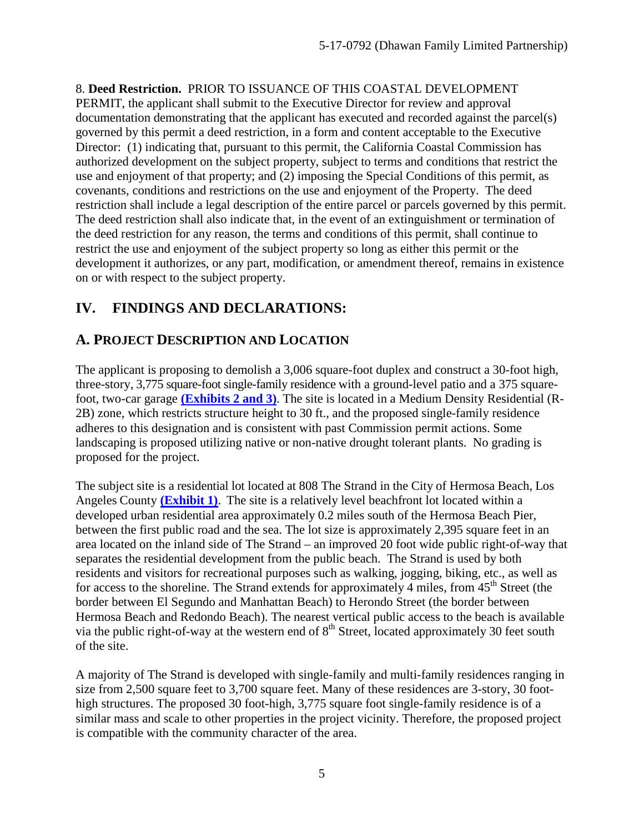8. **Deed Restriction.** PRIOR TO ISSUANCE OF THIS COASTAL DEVELOPMENT PERMIT, the applicant shall submit to the Executive Director for review and approval documentation demonstrating that the applicant has executed and recorded against the parcel(s) governed by this permit a deed restriction, in a form and content acceptable to the Executive Director: (1) indicating that, pursuant to this permit, the California Coastal Commission has authorized development on the subject property, subject to terms and conditions that restrict the use and enjoyment of that property; and (2) imposing the Special Conditions of this permit, as covenants, conditions and restrictions on the use and enjoyment of the Property. The deed restriction shall include a legal description of the entire parcel or parcels governed by this permit. The deed restriction shall also indicate that, in the event of an extinguishment or termination of the deed restriction for any reason, the terms and conditions of this permit, shall continue to restrict the use and enjoyment of the subject property so long as either this permit or the development it authorizes, or any part, modification, or amendment thereof, remains in existence on or with respect to the subject property.

# **IV. FINDINGS AND DECLARATIONS:**

# **A. PROJECT DESCRIPTION AND LOCATION**

The applicant is proposing to demolish a 3,006 square-foot duplex and construct a 30-foot high, three-story, 3,775 square-foot single-family residence with a ground-level patio and a 375 squarefoot, two-car garage **[\(Exhibits 2 and 3\)](https://documents.coastal.ca.gov/reports/2018/3/th6b/th6b-3-2018-exhibits.pdf)**. The site is located in a Medium Density Residential (R-2B) zone, which restricts structure height to 30 ft., and the proposed single-family residence adheres to this designation and is consistent with past Commission permit actions. Some landscaping is proposed utilizing native or non-native drought tolerant plants. No grading is proposed for the project.

The subject site is a residential lot located at 808 The Strand in the City of Hermosa Beach, Los Angeles County **[\(Exhibit 1\)](https://documents.coastal.ca.gov/reports/2018/3/th6b/th6b-3-2018-exhibits.pdf)**. The site is a relatively level beachfront lot located within a developed urban residential area approximately 0.2 miles south of the Hermosa Beach Pier, between the first public road and the sea. The lot size is approximately 2,395 square feet in an area located on the inland side of The Strand – an improved 20 foot wide public right-of-way that separates the residential development from the public beach. The Strand is used by both residents and visitors for recreational purposes such as walking, jogging, biking, etc., as well as for access to the shoreline. The Strand extends for approximately 4 miles, from 45<sup>th</sup> Street (the border between El Segundo and Manhattan Beach) to Herondo Street (the border between Hermosa Beach and Redondo Beach). The nearest vertical public access to the beach is available via the public right-of-way at the western end of  $8<sup>th</sup>$  Street, located approximately 30 feet south of the site.

A majority of The Strand is developed with single-family and multi-family residences ranging in size from 2,500 square feet to 3,700 square feet. Many of these residences are 3-story, 30 foothigh structures. The proposed 30 foot-high, 3,775 square foot single-family residence is of a similar mass and scale to other properties in the project vicinity. Therefore, the proposed project is compatible with the community character of the area.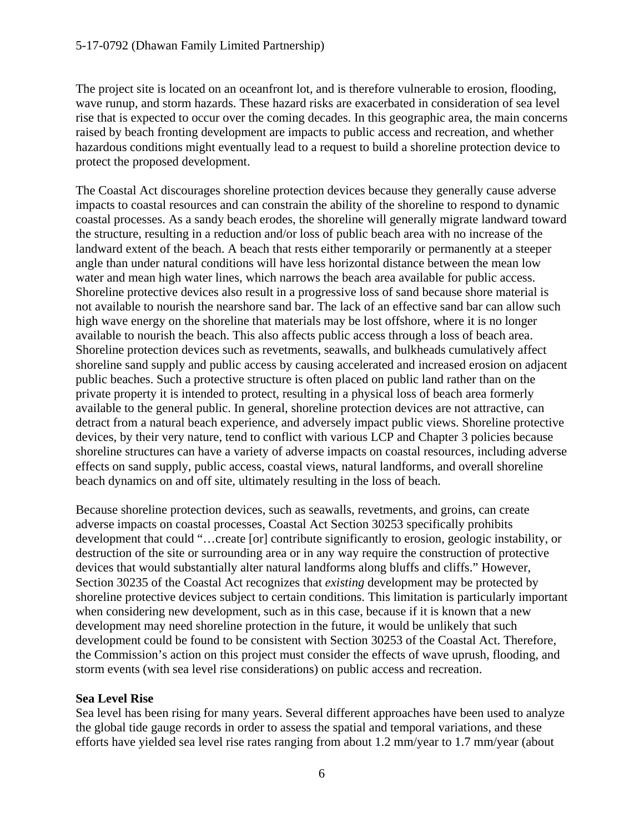The project site is located on an oceanfront lot, and is therefore vulnerable to erosion, flooding, wave runup, and storm hazards. These hazard risks are exacerbated in consideration of sea level rise that is expected to occur over the coming decades. In this geographic area, the main concerns raised by beach fronting development are impacts to public access and recreation, and whether hazardous conditions might eventually lead to a request to build a shoreline protection device to protect the proposed development.

The Coastal Act discourages shoreline protection devices because they generally cause adverse impacts to coastal resources and can constrain the ability of the shoreline to respond to dynamic coastal processes. As a sandy beach erodes, the shoreline will generally migrate landward toward the structure, resulting in a reduction and/or loss of public beach area with no increase of the landward extent of the beach. A beach that rests either temporarily or permanently at a steeper angle than under natural conditions will have less horizontal distance between the mean low water and mean high water lines, which narrows the beach area available for public access. Shoreline protective devices also result in a progressive loss of sand because shore material is not available to nourish the nearshore sand bar. The lack of an effective sand bar can allow such high wave energy on the shoreline that materials may be lost offshore, where it is no longer available to nourish the beach. This also affects public access through a loss of beach area. Shoreline protection devices such as revetments, seawalls, and bulkheads cumulatively affect shoreline sand supply and public access by causing accelerated and increased erosion on adjacent public beaches. Such a protective structure is often placed on public land rather than on the private property it is intended to protect, resulting in a physical loss of beach area formerly available to the general public. In general, shoreline protection devices are not attractive, can detract from a natural beach experience, and adversely impact public views. Shoreline protective devices, by their very nature, tend to conflict with various LCP and Chapter 3 policies because shoreline structures can have a variety of adverse impacts on coastal resources, including adverse effects on sand supply, public access, coastal views, natural landforms, and overall shoreline beach dynamics on and off site, ultimately resulting in the loss of beach.

Because shoreline protection devices, such as seawalls, revetments, and groins, can create adverse impacts on coastal processes, Coastal Act Section 30253 specifically prohibits development that could "…create [or] contribute significantly to erosion, geologic instability, or destruction of the site or surrounding area or in any way require the construction of protective devices that would substantially alter natural landforms along bluffs and cliffs." However, Section 30235 of the Coastal Act recognizes that *existing* development may be protected by shoreline protective devices subject to certain conditions. This limitation is particularly important when considering new development, such as in this case, because if it is known that a new development may need shoreline protection in the future, it would be unlikely that such development could be found to be consistent with Section 30253 of the Coastal Act. Therefore, the Commission's action on this project must consider the effects of wave uprush, flooding, and storm events (with sea level rise considerations) on public access and recreation.

#### **Sea Level Rise**

Sea level has been rising for many years. Several different approaches have been used to analyze the global tide gauge records in order to assess the spatial and temporal variations, and these efforts have yielded sea level rise rates ranging from about 1.2 mm/year to 1.7 mm/year (about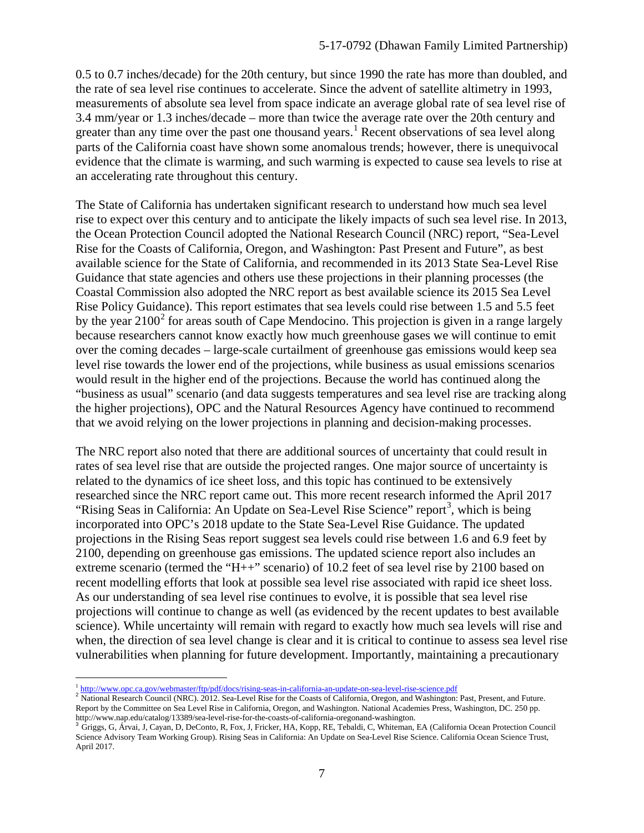0.5 to 0.7 inches/decade) for the 20th century, but since 1990 the rate has more than doubled, and the rate of sea level rise continues to accelerate. Since the advent of satellite altimetry in 1993, measurements of absolute sea level from space indicate an average global rate of sea level rise of 3.4 mm/year or 1.3 inches/decade – more than twice the average rate over the 20th century and greater than any time over the past one thousand years.<sup>[1](#page-6-0)</sup> Recent observations of sea level along parts of the California coast have shown some anomalous trends; however, there is unequivocal evidence that the climate is warming, and such warming is expected to cause sea levels to rise at an accelerating rate throughout this century.

The State of California has undertaken significant research to understand how much sea level rise to expect over this century and to anticipate the likely impacts of such sea level rise. In 2013, the Ocean Protection Council adopted the National Research Council (NRC) report, "Sea-Level Rise for the Coasts of California, Oregon, and Washington: Past Present and Future", as best available science for the State of California, and recommended in its 2013 State Sea-Level Rise Guidance that state agencies and others use these projections in their planning processes (the Coastal Commission also adopted the NRC report as best available science its 2015 Sea Level Rise Policy Guidance). This report estimates that sea levels could rise between 1.5 and 5.5 feet by the year  $2100^2$  $2100^2$  for areas south of Cape Mendocino. This projection is given in a range largely because researchers cannot know exactly how much greenhouse gases we will continue to emit over the coming decades – large-scale curtailment of greenhouse gas emissions would keep sea level rise towards the lower end of the projections, while business as usual emissions scenarios would result in the higher end of the projections. Because the world has continued along the "business as usual" scenario (and data suggests temperatures and sea level rise are tracking along the higher projections), OPC and the Natural Resources Agency have continued to recommend that we avoid relying on the lower projections in planning and decision-making processes.

The NRC report also noted that there are additional sources of uncertainty that could result in rates of sea level rise that are outside the projected ranges. One major source of uncertainty is related to the dynamics of ice sheet loss, and this topic has continued to be extensively researched since the NRC report came out. This more recent research informed the April 2017 "Rising Seas in California: An Update on Sea-Level Rise Science" report<sup>[3](#page-6-2)</sup>, which is being incorporated into OPC's 2018 update to the State Sea-Level Rise Guidance. The updated projections in the Rising Seas report suggest sea levels could rise between 1.6 and 6.9 feet by 2100, depending on greenhouse gas emissions. The updated science report also includes an extreme scenario (termed the "H++" scenario) of 10.2 feet of sea level rise by 2100 based on recent modelling efforts that look at possible sea level rise associated with rapid ice sheet loss. As our understanding of sea level rise continues to evolve, it is possible that sea level rise projections will continue to change as well (as evidenced by the recent updates to best available science). While uncertainty will remain with regard to exactly how much sea levels will rise and when, the direction of sea level change is clear and it is critical to continue to assess sea level rise vulnerabilities when planning for future development. Importantly, maintaining a precautionary

 $\overline{a}$ 

<span id="page-6-1"></span><span id="page-6-0"></span> $\frac{1 \text{ http://www.opc.ca.gov/webmaster/ftp/pdf/docs/rising-seas-in-california-an-update-on-sea-level-rise-science.pdf}}{2 \text{ National Research Council (NRC). } 2012$  $\frac{1 \text{ http://www.opc.ca.gov/webmaster/ftp/pdf/docs/rising-seas-in-california-an-update-on-sea-level-rise-science.pdf}}{2 \text{ National Research Council (NRC). } 2012$  $\frac{1 \text{ http://www.opc.ca.gov/webmaster/ftp/pdf/docs/rising-seas-in-california-an-update-on-sea-level-rise-science.pdf}}{2 \text{ National Research Council (NRC). } 2012$ . Sea-Level Rise for the Coasts of California, Oregon, and Washington: Past, Present, and Future. Report by the Committee on Sea Level Rise in California, Oregon, and Washington. National Academies Press, Washington, DC. 250 pp. http://www.nap.edu/catalog/13389/sea-level-rise-for-the-coasts-of-california-oregonand-washington.<br><sup>3</sup> Griggs, G, Árvai, J, Cayan, D, DeConto, R, Fox, J, Fricker, HA, Kopp, RE, Tebaldi, C, Whiteman, EA (California Ocean Pr

<span id="page-6-2"></span>Science Advisory Team Working Group). Rising Seas in California: An Update on Sea-Level Rise Science. California Ocean Science Trust, April 2017.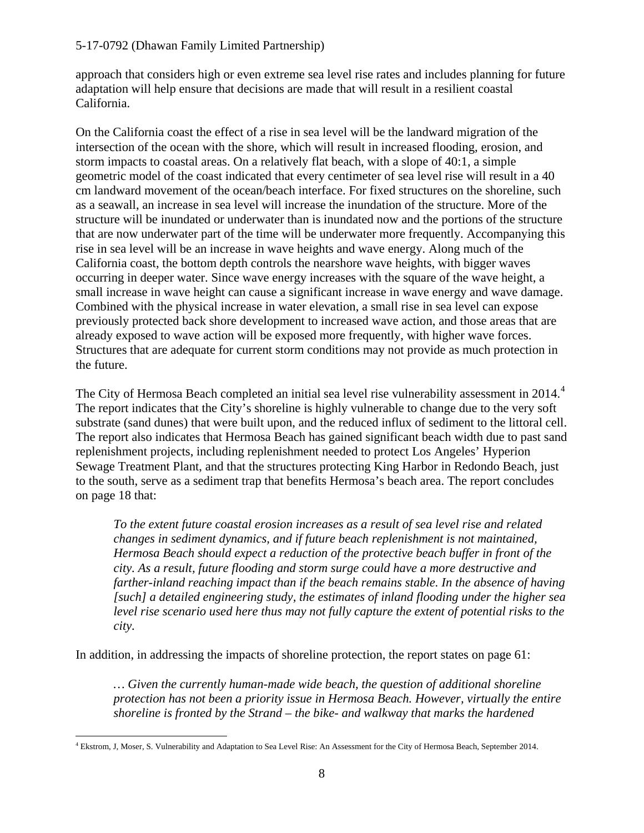#### 5-17-0792 (Dhawan Family Limited Partnership)

approach that considers high or even extreme sea level rise rates and includes planning for future adaptation will help ensure that decisions are made that will result in a resilient coastal California.

On the California coast the effect of a rise in sea level will be the landward migration of the intersection of the ocean with the shore, which will result in increased flooding, erosion, and storm impacts to coastal areas. On a relatively flat beach, with a slope of 40:1, a simple geometric model of the coast indicated that every centimeter of sea level rise will result in a 40 cm landward movement of the ocean/beach interface. For fixed structures on the shoreline, such as a seawall, an increase in sea level will increase the inundation of the structure. More of the structure will be inundated or underwater than is inundated now and the portions of the structure that are now underwater part of the time will be underwater more frequently. Accompanying this rise in sea level will be an increase in wave heights and wave energy. Along much of the California coast, the bottom depth controls the nearshore wave heights, with bigger waves occurring in deeper water. Since wave energy increases with the square of the wave height, a small increase in wave height can cause a significant increase in wave energy and wave damage. Combined with the physical increase in water elevation, a small rise in sea level can expose previously protected back shore development to increased wave action, and those areas that are already exposed to wave action will be exposed more frequently, with higher wave forces. Structures that are adequate for current storm conditions may not provide as much protection in the future.

The City of Hermosa Beach completed an initial sea level rise vulnerability assessment in 201[4](#page-7-0).<sup>4</sup> The report indicates that the City's shoreline is highly vulnerable to change due to the very soft substrate (sand dunes) that were built upon, and the reduced influx of sediment to the littoral cell. The report also indicates that Hermosa Beach has gained significant beach width due to past sand replenishment projects, including replenishment needed to protect Los Angeles' Hyperion Sewage Treatment Plant, and that the structures protecting King Harbor in Redondo Beach, just to the south, serve as a sediment trap that benefits Hermosa's beach area. The report concludes on page 18 that:

*To the extent future coastal erosion increases as a result of sea level rise and related changes in sediment dynamics, and if future beach replenishment is not maintained, Hermosa Beach should expect a reduction of the protective beach buffer in front of the city. As a result, future flooding and storm surge could have a more destructive and farther-inland reaching impact than if the beach remains stable. In the absence of having [such] a detailed engineering study, the estimates of inland flooding under the higher sea level rise scenario used here thus may not fully capture the extent of potential risks to the city.* 

In addition, in addressing the impacts of shoreline protection, the report states on page 61:

*… Given the currently human-made wide beach, the question of additional shoreline protection has not been a priority issue in Hermosa Beach. However, virtually the entire shoreline is fronted by the Strand – the bike- and walkway that marks the hardened* 

<span id="page-7-0"></span> $\overline{a}$ <sup>4</sup> Ekstrom, J, Moser, S. Vulnerability and Adaptation to Sea Level Rise: An Assessment for the City of Hermosa Beach, September 2014.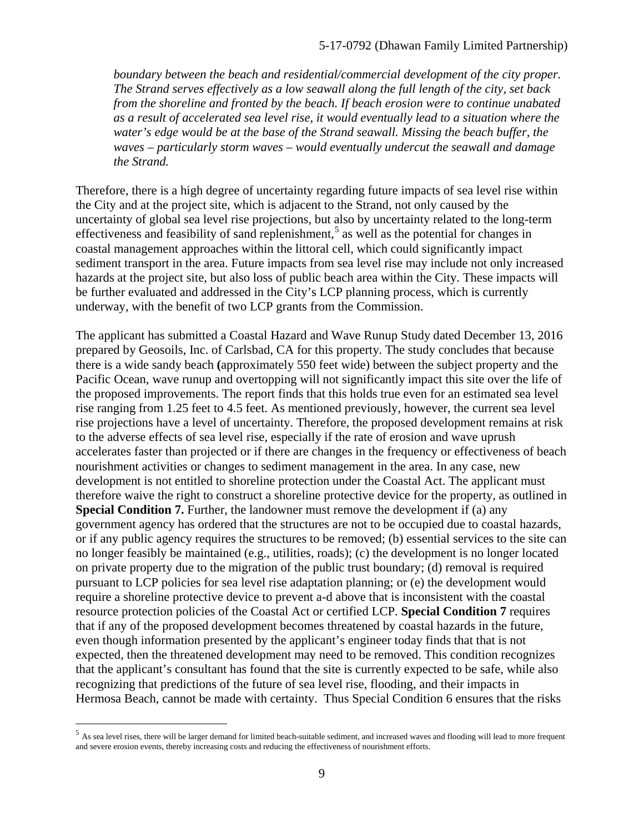*boundary between the beach and residential/commercial development of the city proper. The Strand serves effectively as a low seawall along the full length of the city, set back from the shoreline and fronted by the beach. If beach erosion were to continue unabated as a result of accelerated sea level rise, it would eventually lead to a situation where the*  water's edge would be at the base of the Strand seawall. Missing the beach buffer, the *waves – particularly storm waves – would eventually undercut the seawall and damage the Strand.* 

Therefore, there is a high degree of uncertainty regarding future impacts of sea level rise within the City and at the project site, which is adjacent to the Strand, not only caused by the uncertainty of global sea level rise projections, but also by uncertainty related to the long-term effectiveness and feasibility of sand replenishment,<sup>[5](#page-8-0)</sup> as well as the potential for changes in coastal management approaches within the littoral cell, which could significantly impact sediment transport in the area. Future impacts from sea level rise may include not only increased hazards at the project site, but also loss of public beach area within the City. These impacts will be further evaluated and addressed in the City's LCP planning process, which is currently underway, with the benefit of two LCP grants from the Commission.

The applicant has submitted a Coastal Hazard and Wave Runup Study dated December 13, 2016 prepared by Geosoils, Inc. of Carlsbad, CA for this property. The study concludes that because there is a wide sandy beach **(**approximately 550 feet wide) between the subject property and the Pacific Ocean, wave runup and overtopping will not significantly impact this site over the life of the proposed improvements. The report finds that this holds true even for an estimated sea level rise ranging from 1.25 feet to 4.5 feet. As mentioned previously, however, the current sea level rise projections have a level of uncertainty. Therefore, the proposed development remains at risk to the adverse effects of sea level rise, especially if the rate of erosion and wave uprush accelerates faster than projected or if there are changes in the frequency or effectiveness of beach nourishment activities or changes to sediment management in the area. In any case, new development is not entitled to shoreline protection under the Coastal Act. The applicant must therefore waive the right to construct a shoreline protective device for the property, as outlined in **Special Condition 7.** Further, the landowner must remove the development if (a) any government agency has ordered that the structures are not to be occupied due to coastal hazards, or if any public agency requires the structures to be removed; (b) essential services to the site can no longer feasibly be maintained (e.g., utilities, roads); (c) the development is no longer located on private property due to the migration of the public trust boundary; (d) removal is required pursuant to LCP policies for sea level rise adaptation planning; or (e) the development would require a shoreline protective device to prevent a-d above that is inconsistent with the coastal resource protection policies of the Coastal Act or certified LCP. **Special Condition 7** requires that if any of the proposed development becomes threatened by coastal hazards in the future, even though information presented by the applicant's engineer today finds that that is not expected, then the threatened development may need to be removed. This condition recognizes that the applicant's consultant has found that the site is currently expected to be safe, while also recognizing that predictions of the future of sea level rise, flooding, and their impacts in Hermosa Beach, cannot be made with certainty. Thus Special Condition 6 ensures that the risks

 $\overline{a}$ 

<span id="page-8-0"></span> $<sup>5</sup>$  As sea level rises, there will be larger demand for limited beach-suitable sediment, and increased waves and flooding will lead to more frequent</sup> and severe erosion events, thereby increasing costs and reducing the effectiveness of nourishment efforts.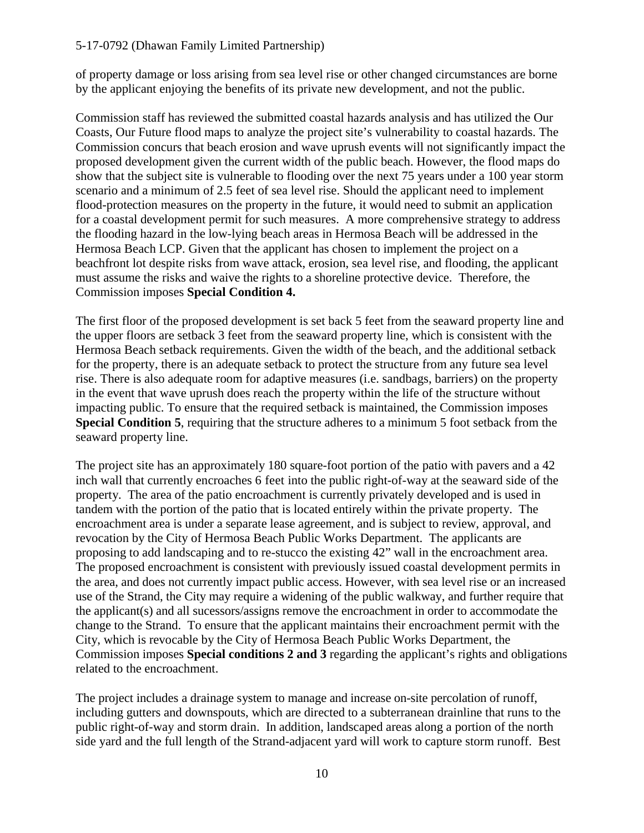#### 5-17-0792 (Dhawan Family Limited Partnership)

of property damage or loss arising from sea level rise or other changed circumstances are borne by the applicant enjoying the benefits of its private new development, and not the public.

Commission staff has reviewed the submitted coastal hazards analysis and has utilized the Our Coasts, Our Future flood maps to analyze the project site's vulnerability to coastal hazards. The Commission concurs that beach erosion and wave uprush events will not significantly impact the proposed development given the current width of the public beach. However, the flood maps do show that the subject site is vulnerable to flooding over the next 75 years under a 100 year storm scenario and a minimum of 2.5 feet of sea level rise. Should the applicant need to implement flood-protection measures on the property in the future, it would need to submit an application for a coastal development permit for such measures. A more comprehensive strategy to address the flooding hazard in the low-lying beach areas in Hermosa Beach will be addressed in the Hermosa Beach LCP. Given that the applicant has chosen to implement the project on a beachfront lot despite risks from wave attack, erosion, sea level rise, and flooding, the applicant must assume the risks and waive the rights to a shoreline protective device. Therefore, the Commission imposes **Special Condition 4.** 

The first floor of the proposed development is set back 5 feet from the seaward property line and the upper floors are setback 3 feet from the seaward property line, which is consistent with the Hermosa Beach setback requirements. Given the width of the beach, and the additional setback for the property, there is an adequate setback to protect the structure from any future sea level rise. There is also adequate room for adaptive measures (i.e. sandbags, barriers) on the property in the event that wave uprush does reach the property within the life of the structure without impacting public. To ensure that the required setback is maintained, the Commission imposes **Special Condition 5**, requiring that the structure adheres to a minimum 5 foot setback from the seaward property line.

The project site has an approximately 180 square-foot portion of the patio with pavers and a 42 inch wall that currently encroaches 6 feet into the public right-of-way at the seaward side of the property. The area of the patio encroachment is currently privately developed and is used in tandem with the portion of the patio that is located entirely within the private property. The encroachment area is under a separate lease agreement, and is subject to review, approval, and revocation by the City of Hermosa Beach Public Works Department. The applicants are proposing to add landscaping and to re-stucco the existing 42" wall in the encroachment area. The proposed encroachment is consistent with previously issued coastal development permits in the area, and does not currently impact public access. However, with sea level rise or an increased use of the Strand, the City may require a widening of the public walkway, and further require that the applicant(s) and all sucessors/assigns remove the encroachment in order to accommodate the change to the Strand. To ensure that the applicant maintains their encroachment permit with the City, which is revocable by the City of Hermosa Beach Public Works Department, the Commission imposes **Special conditions 2 and 3** regarding the applicant's rights and obligations related to the encroachment.

The project includes a drainage system to manage and increase on-site percolation of runoff, including gutters and downspouts, which are directed to a subterranean drainline that runs to the public right-of-way and storm drain. In addition, landscaped areas along a portion of the north side yard and the full length of the Strand-adjacent yard will work to capture storm runoff. Best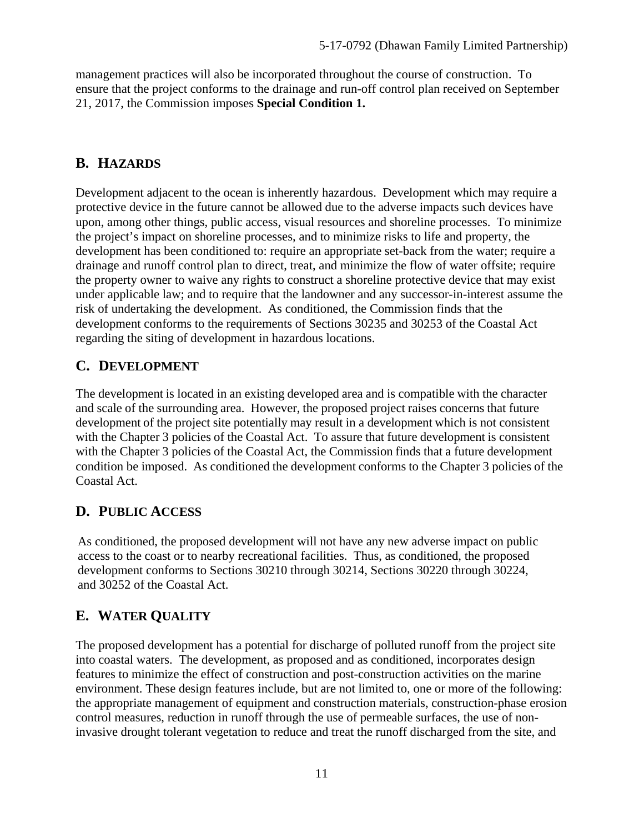management practices will also be incorporated throughout the course of construction. To ensure that the project conforms to the drainage and run-off control plan received on September 21, 2017, the Commission imposes **Special Condition 1.**

#### **B. HAZARDS**

Development adjacent to the ocean is inherently hazardous. Development which may require a protective device in the future cannot be allowed due to the adverse impacts such devices have upon, among other things, public access, visual resources and shoreline processes. To minimize the project's impact on shoreline processes, and to minimize risks to life and property, the development has been conditioned to: require an appropriate set-back from the water; require a drainage and runoff control plan to direct, treat, and minimize the flow of water offsite; require the property owner to waive any rights to construct a shoreline protective device that may exist under applicable law; and to require that the landowner and any successor-in-interest assume the risk of undertaking the development. As conditioned, the Commission finds that the development conforms to the requirements of Sections 30235 and 30253 of the Coastal Act regarding the siting of development in hazardous locations.

#### **C. DEVELOPMENT**

The development is located in an existing developed area and is compatible with the character and scale of the surrounding area. However, the proposed project raises concerns that future development of the project site potentially may result in a development which is not consistent with the Chapter 3 policies of the Coastal Act. To assure that future development is consistent with the Chapter 3 policies of the Coastal Act, the Commission finds that a future development condition be imposed. As conditioned the development conforms to the Chapter 3 policies of the Coastal Act.

#### **D. PUBLIC ACCESS**

As conditioned, the proposed development will not have any new adverse impact on public access to the coast or to nearby recreational facilities. Thus, as conditioned, the proposed development conforms to Sections 30210 through 30214, Sections 30220 through 30224, and 30252 of the Coastal Act.

# **E. WATER QUALITY**

The proposed development has a potential for discharge of polluted runoff from the project site into coastal waters. The development, as proposed and as conditioned, incorporates design features to minimize the effect of construction and post-construction activities on the marine environment. These design features include, but are not limited to, one or more of the following: the appropriate management of equipment and construction materials, construction-phase erosion control measures, reduction in runoff through the use of permeable surfaces, the use of noninvasive drought tolerant vegetation to reduce and treat the runoff discharged from the site, and